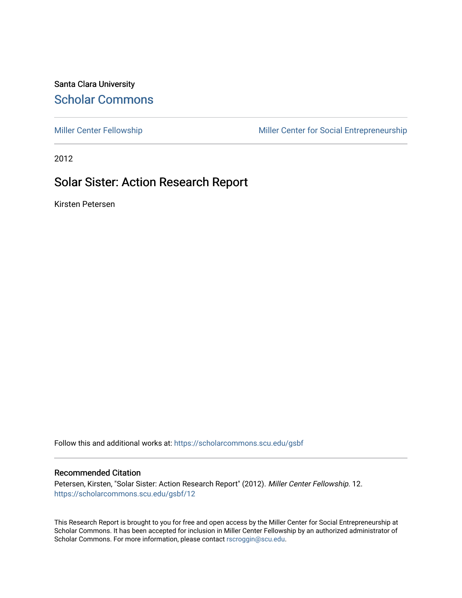Santa Clara University [Scholar Commons](https://scholarcommons.scu.edu/) 

[Miller Center Fellowship](https://scholarcommons.scu.edu/gsbf) Miller Center for Social Entrepreneurship

2012

## Solar Sister: Action Research Report

Kirsten Petersen

Follow this and additional works at: [https://scholarcommons.scu.edu/gsbf](https://scholarcommons.scu.edu/gsbf?utm_source=scholarcommons.scu.edu%2Fgsbf%2F12&utm_medium=PDF&utm_campaign=PDFCoverPages)

#### Recommended Citation

Petersen, Kirsten, "Solar Sister: Action Research Report" (2012). Miller Center Fellowship. 12. [https://scholarcommons.scu.edu/gsbf/12](https://scholarcommons.scu.edu/gsbf/12?utm_source=scholarcommons.scu.edu%2Fgsbf%2F12&utm_medium=PDF&utm_campaign=PDFCoverPages) 

This Research Report is brought to you for free and open access by the Miller Center for Social Entrepreneurship at Scholar Commons. It has been accepted for inclusion in Miller Center Fellowship by an authorized administrator of Scholar Commons. For more information, please contact [rscroggin@scu.edu.](mailto:rscroggin@scu.edu)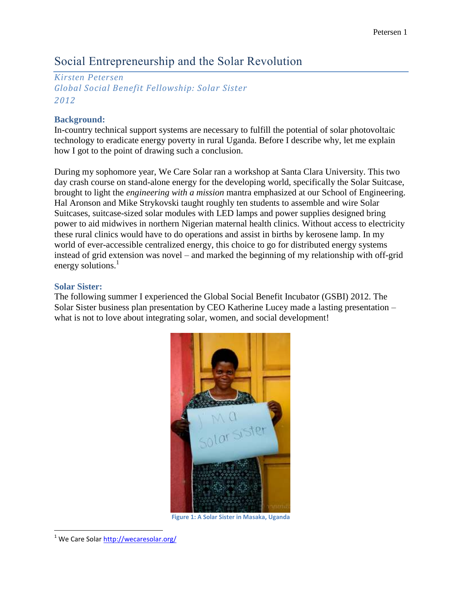# Social Entrepreneurship and the Solar Revolution

*Kirsten Petersen Global Social Benefit Fellowship: Solar Sister 2012*

### **Background:**

In-country technical support systems are necessary to fulfill the potential of solar photovoltaic technology to eradicate energy poverty in rural Uganda. Before I describe why, let me explain how I got to the point of drawing such a conclusion.

During my sophomore year, We Care Solar ran a workshop at Santa Clara University. This two day crash course on stand-alone energy for the developing world, specifically the Solar Suitcase, brought to light the *engineering with a mission* mantra emphasized at our School of Engineering. Hal Aronson and Mike Strykovski taught roughly ten students to assemble and wire Solar Suitcases, suitcase-sized solar modules with LED lamps and power supplies designed bring power to aid midwives in northern Nigerian maternal health clinics. Without access to electricity these rural clinics would have to do operations and assist in births by kerosene lamp. In my world of ever-accessible centralized energy, this choice to go for distributed energy systems instead of grid extension was novel – and marked the beginning of my relationship with off-grid energy solutions.<sup>1</sup>

### **Solar Sister:**

The following summer I experienced the Global Social Benefit Incubator (GSBI) 2012. The Solar Sister business plan presentation by CEO Katherine Lucey made a lasting presentation – what is not to love about integrating solar, women, and social development!



**Figure 1: A Solar Sister in Masaka, Uganda**

 $\overline{\phantom{a}}$ <sup>1</sup> We Care Solar<http://wecaresolar.org/>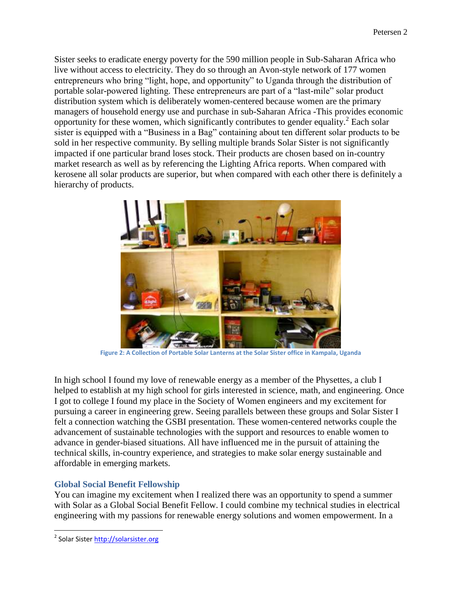Sister seeks to eradicate energy poverty for the 590 million people in Sub-Saharan Africa who live without access to electricity. They do so through an Avon-style network of 177 women entrepreneurs who bring "light, hope, and opportunity" to Uganda through the distribution of portable solar-powered lighting. These entrepreneurs are part of a "last-mile" solar product distribution system which is deliberately women-centered because women are the primary managers of household energy use and purchase in sub-Saharan Africa -This provides economic opportunity for these women, which significantly contributes to gender equality.<sup>2</sup> Each solar sister is equipped with a "Business in a Bag" containing about ten different solar products to be sold in her respective community. By selling multiple brands Solar Sister is not significantly impacted if one particular brand loses stock. Their products are chosen based on in-country market research as well as by referencing the Lighting Africa reports. When compared with kerosene all solar products are superior, but when compared with each other there is definitely a hierarchy of products.



**Figure 2: A Collection of Portable Solar Lanterns at the Solar Sister office in Kampala, Uganda**

In high school I found my love of renewable energy as a member of the Physettes, a club I helped to establish at my high school for girls interested in science, math, and engineering. Once I got to college I found my place in the Society of Women engineers and my excitement for pursuing a career in engineering grew. Seeing parallels between these groups and Solar Sister I felt a connection watching the GSBI presentation. These women-centered networks couple the advancement of sustainable technologies with the support and resources to enable women to advance in gender-biased situations. All have influenced me in the pursuit of attaining the technical skills, in-country experience, and strategies to make solar energy sustainable and affordable in emerging markets.

### **Global Social Benefit Fellowship**

You can imagine my excitement when I realized there was an opportunity to spend a summer with Solar as a Global Social Benefit Fellow. I could combine my technical studies in electrical engineering with my passions for renewable energy solutions and women empowerment. In a

 $\overline{\phantom{a}}$ 

<sup>&</sup>lt;sup>2</sup> Solar Sister <u>http://solarsister.org</u>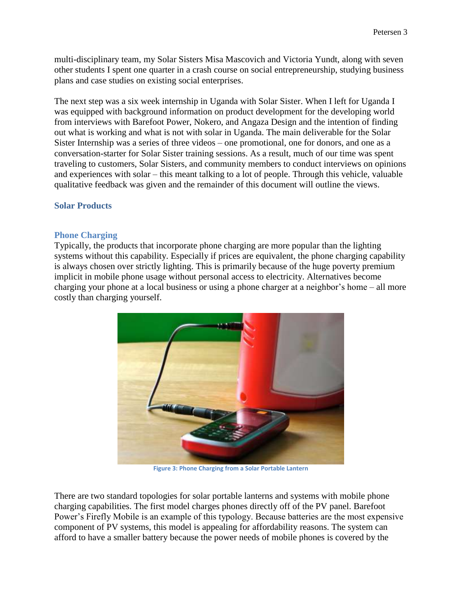multi-disciplinary team, my Solar Sisters Misa Mascovich and Victoria Yundt, along with seven other students I spent one quarter in a crash course on social entrepreneurship, studying business plans and case studies on existing social enterprises.

The next step was a six week internship in Uganda with Solar Sister. When I left for Uganda I was equipped with background information on product development for the developing world from interviews with Barefoot Power, Nokero, and Angaza Design and the intention of finding out what is working and what is not with solar in Uganda. The main deliverable for the Solar Sister Internship was a series of three videos – one promotional, one for donors, and one as a conversation-starter for Solar Sister training sessions. As a result, much of our time was spent traveling to customers, Solar Sisters, and community members to conduct interviews on opinions and experiences with solar – this meant talking to a lot of people. Through this vehicle, valuable qualitative feedback was given and the remainder of this document will outline the views.

#### **Solar Products**

#### **Phone Charging**

Typically, the products that incorporate phone charging are more popular than the lighting systems without this capability. Especially if prices are equivalent, the phone charging capability is always chosen over strictly lighting. This is primarily because of the huge poverty premium implicit in mobile phone usage without personal access to electricity. Alternatives become charging your phone at a local business or using a phone charger at a neighbor's home – all more costly than charging yourself.



**Figure 3: Phone Charging from a Solar Portable Lantern**

There are two standard topologies for solar portable lanterns and systems with mobile phone charging capabilities. The first model charges phones directly off of the PV panel. Barefoot Power's Firefly Mobile is an example of this typology. Because batteries are the most expensive component of PV systems, this model is appealing for affordability reasons. The system can afford to have a smaller battery because the power needs of mobile phones is covered by the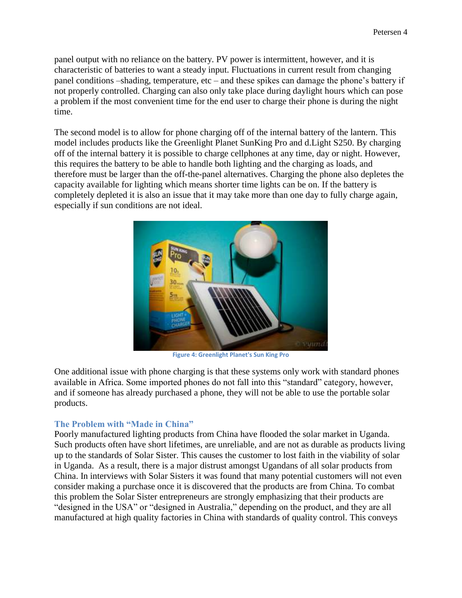panel output with no reliance on the battery. PV power is intermittent, however, and it is characteristic of batteries to want a steady input. Fluctuations in current result from changing panel conditions –shading, temperature, etc – and these spikes can damage the phone's battery if not properly controlled. Charging can also only take place during daylight hours which can pose a problem if the most convenient time for the end user to charge their phone is during the night time.

The second model is to allow for phone charging off of the internal battery of the lantern. This model includes products like the Greenlight Planet SunKing Pro and d.Light S250. By charging off of the internal battery it is possible to charge cellphones at any time, day or night. However, this requires the battery to be able to handle both lighting and the charging as loads, and therefore must be larger than the off-the-panel alternatives. Charging the phone also depletes the capacity available for lighting which means shorter time lights can be on. If the battery is completely depleted it is also an issue that it may take more than one day to fully charge again, especially if sun conditions are not ideal.



**Figure 4: Greenlight Planet's Sun King Pro**

One additional issue with phone charging is that these systems only work with standard phones available in Africa. Some imported phones do not fall into this "standard" category, however, and if someone has already purchased a phone, they will not be able to use the portable solar products.

### **The Problem with "Made in China"**

Poorly manufactured lighting products from China have flooded the solar market in Uganda. Such products often have short lifetimes, are unreliable, and are not as durable as products living up to the standards of Solar Sister. This causes the customer to lost faith in the viability of solar in Uganda. As a result, there is a major distrust amongst Ugandans of all solar products from China. In interviews with Solar Sisters it was found that many potential customers will not even consider making a purchase once it is discovered that the products are from China. To combat this problem the Solar Sister entrepreneurs are strongly emphasizing that their products are "designed in the USA" or "designed in Australia," depending on the product, and they are all manufactured at high quality factories in China with standards of quality control. This conveys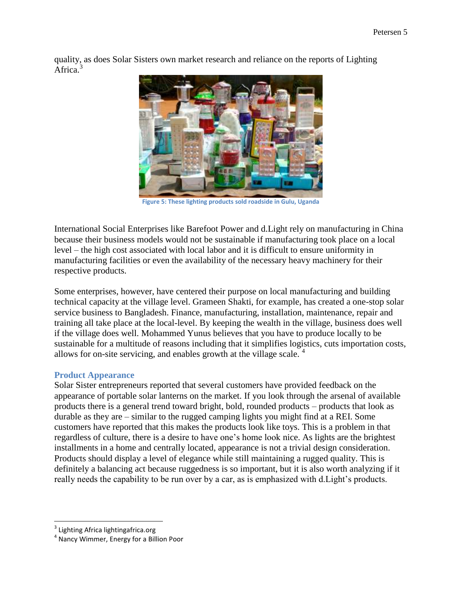quality, as does Solar Sisters own market research and reliance on the reports of Lighting Africa.<sup>3</sup>



**Figure 5: These lighting products sold roadside in Gulu, Uganda**

International Social Enterprises like Barefoot Power and d.Light rely on manufacturing in China because their business models would not be sustainable if manufacturing took place on a local level – the high cost associated with local labor and it is difficult to ensure uniformity in manufacturing facilities or even the availability of the necessary heavy machinery for their respective products.

Some enterprises, however, have centered their purpose on local manufacturing and building technical capacity at the village level. Grameen Shakti, for example, has created a one-stop solar service business to Bangladesh. Finance, manufacturing, installation, maintenance, repair and training all take place at the local-level. By keeping the wealth in the village, business does well if the village does well. Mohammed Yunus believes that you have to produce locally to be sustainable for a multitude of reasons including that it simplifies logistics, cuts importation costs, allows for on-site servicing, and enables growth at the village scale.  $4\overline{ }$ 

#### **Product Appearance**

Solar Sister entrepreneurs reported that several customers have provided feedback on the appearance of portable solar lanterns on the market. If you look through the arsenal of available products there is a general trend toward bright, bold, rounded products – products that look as durable as they are – similar to the rugged camping lights you might find at a REI. Some customers have reported that this makes the products look like toys. This is a problem in that regardless of culture, there is a desire to have one's home look nice. As lights are the brightest installments in a home and centrally located, appearance is not a trivial design consideration. Products should display a level of elegance while still maintaining a rugged quality. This is definitely a balancing act because ruggedness is so important, but it is also worth analyzing if it really needs the capability to be run over by a car, as is emphasized with d.Light's products.

<sup>&</sup>lt;u>a</u><br><sup>3</sup> Lighting Africa lightingafrica.org

<sup>4</sup> Nancy Wimmer, Energy for a Billion Poor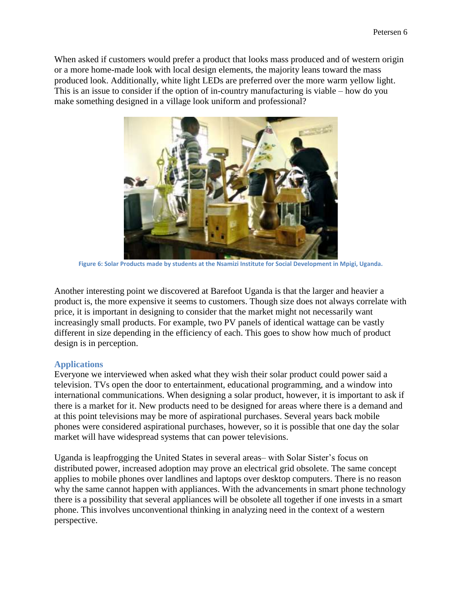When asked if customers would prefer a product that looks mass produced and of western origin or a more home-made look with local design elements, the majority leans toward the mass produced look. Additionally, white light LEDs are preferred over the more warm yellow light. This is an issue to consider if the option of in-country manufacturing is viable – how do you make something designed in a village look uniform and professional?



**Figure 6: Solar Products made by students at the Nsamizi Institute for Social Development in Mpigi, Uganda.**

Another interesting point we discovered at Barefoot Uganda is that the larger and heavier a product is, the more expensive it seems to customers. Though size does not always correlate with price, it is important in designing to consider that the market might not necessarily want increasingly small products. For example, two PV panels of identical wattage can be vastly different in size depending in the efficiency of each. This goes to show how much of product design is in perception.

#### **Applications**

Everyone we interviewed when asked what they wish their solar product could power said a television. TVs open the door to entertainment, educational programming, and a window into international communications. When designing a solar product, however, it is important to ask if there is a market for it. New products need to be designed for areas where there is a demand and at this point televisions may be more of aspirational purchases. Several years back mobile phones were considered aspirational purchases, however, so it is possible that one day the solar market will have widespread systems that can power televisions.

Uganda is leapfrogging the United States in several areas– with Solar Sister's focus on distributed power, increased adoption may prove an electrical grid obsolete. The same concept applies to mobile phones over landlines and laptops over desktop computers. There is no reason why the same cannot happen with appliances. With the advancements in smart phone technology there is a possibility that several appliances will be obsolete all together if one invests in a smart phone. This involves unconventional thinking in analyzing need in the context of a western perspective.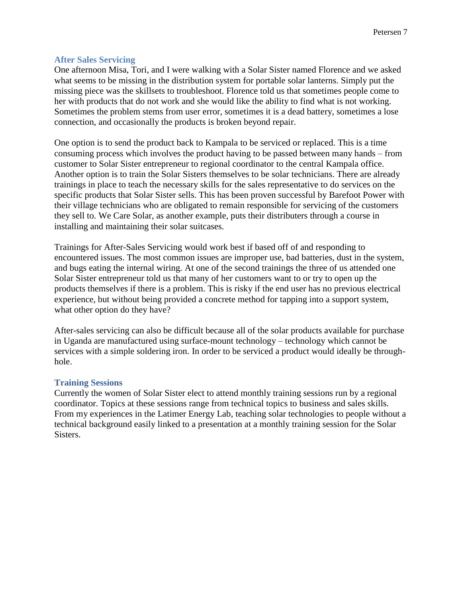#### **After Sales Servicing**

One afternoon Misa, Tori, and I were walking with a Solar Sister named Florence and we asked what seems to be missing in the distribution system for portable solar lanterns. Simply put the missing piece was the skillsets to troubleshoot. Florence told us that sometimes people come to her with products that do not work and she would like the ability to find what is not working. Sometimes the problem stems from user error, sometimes it is a dead battery, sometimes a lose connection, and occasionally the products is broken beyond repair.

One option is to send the product back to Kampala to be serviced or replaced. This is a time consuming process which involves the product having to be passed between many hands – from customer to Solar Sister entrepreneur to regional coordinator to the central Kampala office. Another option is to train the Solar Sisters themselves to be solar technicians. There are already trainings in place to teach the necessary skills for the sales representative to do services on the specific products that Solar Sister sells. This has been proven successful by Barefoot Power with their village technicians who are obligated to remain responsible for servicing of the customers they sell to. We Care Solar, as another example, puts their distributers through a course in installing and maintaining their solar suitcases.

Trainings for After-Sales Servicing would work best if based off of and responding to encountered issues. The most common issues are improper use, bad batteries, dust in the system, and bugs eating the internal wiring. At one of the second trainings the three of us attended one Solar Sister entrepreneur told us that many of her customers want to or try to open up the products themselves if there is a problem. This is risky if the end user has no previous electrical experience, but without being provided a concrete method for tapping into a support system, what other option do they have?

After-sales servicing can also be difficult because all of the solar products available for purchase in Uganda are manufactured using surface-mount technology – technology which cannot be services with a simple soldering iron. In order to be serviced a product would ideally be throughhole.

#### **Training Sessions**

Currently the women of Solar Sister elect to attend monthly training sessions run by a regional coordinator. Topics at these sessions range from technical topics to business and sales skills. From my experiences in the Latimer Energy Lab, teaching solar technologies to people without a technical background easily linked to a presentation at a monthly training session for the Solar Sisters.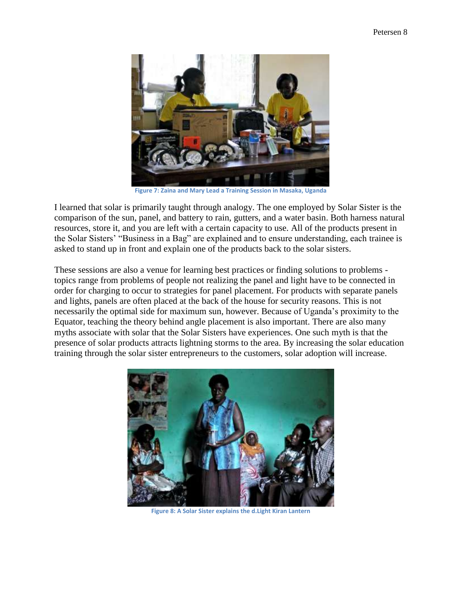

**Figure 7: Zaina and Mary Lead a Training Session in Masaka, Uganda**

I learned that solar is primarily taught through analogy. The one employed by Solar Sister is the comparison of the sun, panel, and battery to rain, gutters, and a water basin. Both harness natural resources, store it, and you are left with a certain capacity to use. All of the products present in the Solar Sisters' "Business in a Bag" are explained and to ensure understanding, each trainee is asked to stand up in front and explain one of the products back to the solar sisters.

These sessions are also a venue for learning best practices or finding solutions to problems topics range from problems of people not realizing the panel and light have to be connected in order for charging to occur to strategies for panel placement. For products with separate panels and lights, panels are often placed at the back of the house for security reasons. This is not necessarily the optimal side for maximum sun, however. Because of Uganda's proximity to the Equator, teaching the theory behind angle placement is also important. There are also many myths associate with solar that the Solar Sisters have experiences. One such myth is that the presence of solar products attracts lightning storms to the area. By increasing the solar education training through the solar sister entrepreneurs to the customers, solar adoption will increase.



**Figure 8: A Solar Sister explains the d.Light Kiran Lantern**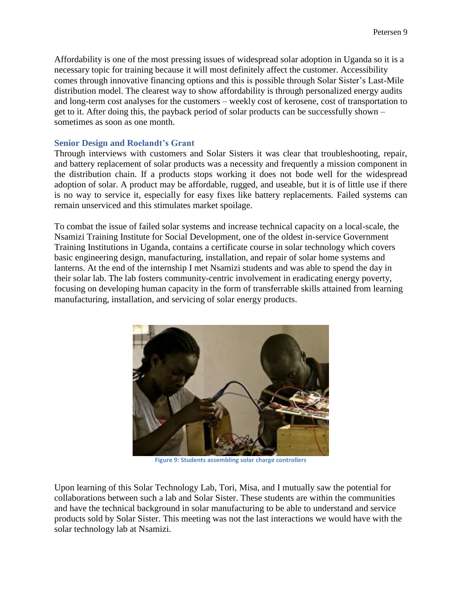Affordability is one of the most pressing issues of widespread solar adoption in Uganda so it is a necessary topic for training because it will most definitely affect the customer. Accessibility comes through innovative financing options and this is possible through Solar Sister's Last-Mile distribution model. The clearest way to show affordability is through personalized energy audits and long-term cost analyses for the customers – weekly cost of kerosene, cost of transportation to get to it. After doing this, the payback period of solar products can be successfully shown – sometimes as soon as one month.

#### **Senior Design and Roelandt's Grant**

Through interviews with customers and Solar Sisters it was clear that troubleshooting, repair, and battery replacement of solar products was a necessity and frequently a mission component in the distribution chain. If a products stops working it does not bode well for the widespread adoption of solar. A product may be affordable, rugged, and useable, but it is of little use if there is no way to service it, especially for easy fixes like battery replacements. Failed systems can remain unserviced and this stimulates market spoilage.

To combat the issue of failed solar systems and increase technical capacity on a local-scale, the Nsamizi Training Institute for Social Development, one of the oldest in-service Government Training Institutions in Uganda, contains a certificate course in solar technology which covers basic engineering design, manufacturing, installation, and repair of solar home systems and lanterns. At the end of the internship I met Nsamizi students and was able to spend the day in their solar lab. The lab fosters community-centric involvement in eradicating energy poverty, focusing on developing human capacity in the form of transferrable skills attained from learning manufacturing, installation, and servicing of solar energy products.



**Figure 9: Students assembling solar charge controllers**

Upon learning of this Solar Technology Lab, Tori, Misa, and I mutually saw the potential for collaborations between such a lab and Solar Sister. These students are within the communities and have the technical background in solar manufacturing to be able to understand and service products sold by Solar Sister. This meeting was not the last interactions we would have with the solar technology lab at Nsamizi.